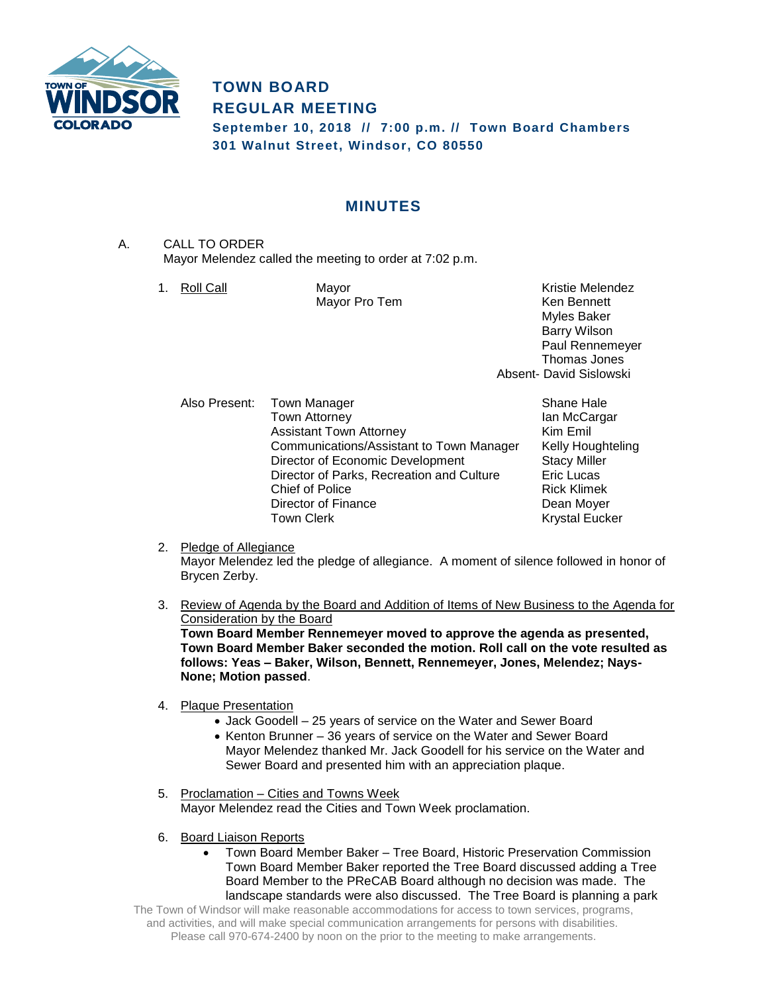

# **TOWN BOARD REGULAR MEETING**

**September 10, 2018 // 7:00 p.m. // Town Board Chambers 301 Walnut Street, Windsor, CO 80550**

## **MINUTES**

- A. CALL TO ORDER Mayor Melendez called the meeting to order at 7:02 p.m.
	-

1. Roll Call **Mayor** Mayor **Kristie Melendez** Mayor Pro Tem **Ken Bennett** Myles Baker Barry Wilson Paul Rennemeyer Thomas Jones Absent- David Sislowski

Also Present: Town Manager Shane Hale Town Attorney **Internal Community** Ian McCargar Assistant Town Attorney **Kim Emil** Communications/Assistant to Town Manager Kelly Houghteling Director of Economic Development Stacy Miller Director of Parks, Recreation and Culture Eric Lucas<br>Chief of Police Brick Klimek Chief of Police Director of Finance<br>
Town Clerk<br>
Town Clerk<br>
Dean Moyer

Krystal Eucker

#### 2. Pledge of Allegiance

Mayor Melendez led the pledge of allegiance. A moment of silence followed in honor of Brycen Zerby.

3. Review of Agenda by the Board and Addition of Items of New Business to the Agenda for Consideration by the Board

**Town Board Member Rennemeyer moved to approve the agenda as presented, Town Board Member Baker seconded the motion. Roll call on the vote resulted as follows: Yeas – Baker, Wilson, Bennett, Rennemeyer, Jones, Melendez; Nays-None; Motion passed**.

- 4. Plaque Presentation
	- Jack Goodell 25 years of service on the Water and Sewer Board
	- Kenton Brunner 36 years of service on the Water and Sewer Board Mayor Melendez thanked Mr. Jack Goodell for his service on the Water and Sewer Board and presented him with an appreciation plaque.
- 5. Proclamation Cities and Towns Week Mayor Melendez read the Cities and Town Week proclamation.
- 6. Board Liaison Reports
	- Town Board Member Baker Tree Board, Historic Preservation Commission Town Board Member Baker reported the Tree Board discussed adding a Tree Board Member to the PReCAB Board although no decision was made. The landscape standards were also discussed. The Tree Board is planning a park

The Town of Windsor will make reasonable accommodations for access to town services, programs, and activities, and will make special communication arrangements for persons with disabilities. Please call 970-674-2400 by noon on the prior to the meeting to make arrangements.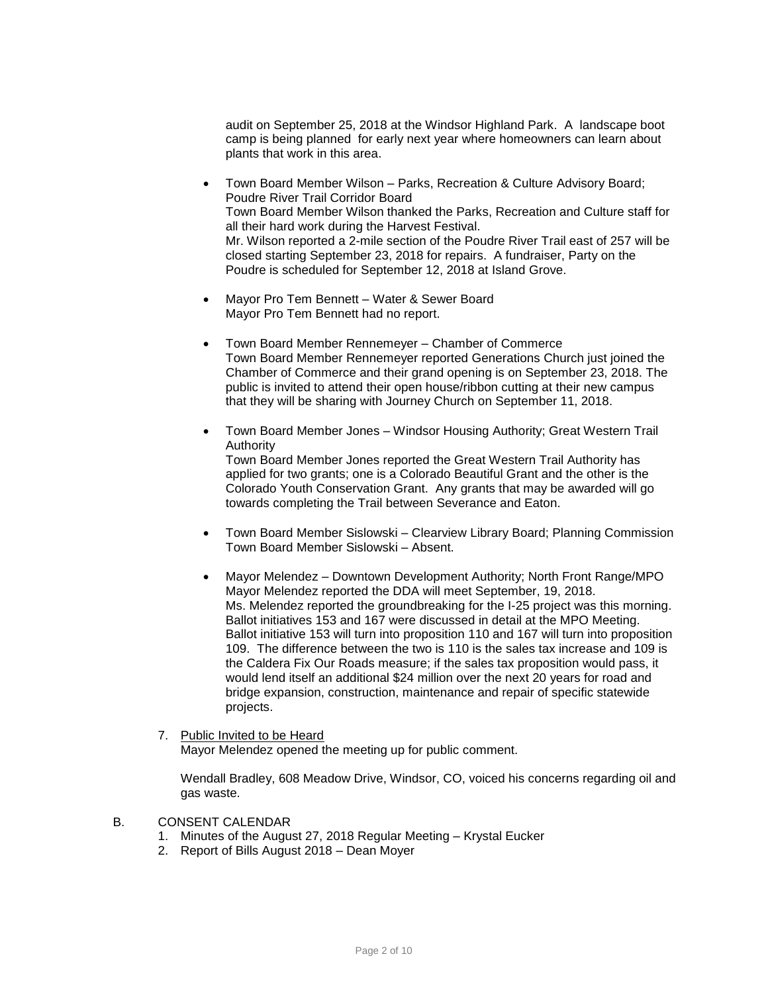audit on September 25, 2018 at the Windsor Highland Park. A landscape boot camp is being planned for early next year where homeowners can learn about plants that work in this area.

- Town Board Member Wilson Parks, Recreation & Culture Advisory Board; Poudre River Trail Corridor Board Town Board Member Wilson thanked the Parks, Recreation and Culture staff for all their hard work during the Harvest Festival. Mr. Wilson reported a 2-mile section of the Poudre River Trail east of 257 will be closed starting September 23, 2018 for repairs. A fundraiser, Party on the Poudre is scheduled for September 12, 2018 at Island Grove.
- Mayor Pro Tem Bennett Water & Sewer Board Mayor Pro Tem Bennett had no report.
- Town Board Member Rennemeyer Chamber of Commerce Town Board Member Rennemeyer reported Generations Church just joined the Chamber of Commerce and their grand opening is on September 23, 2018. The public is invited to attend their open house/ribbon cutting at their new campus that they will be sharing with Journey Church on September 11, 2018.
- Town Board Member Jones Windsor Housing Authority; Great Western Trail Authority Town Board Member Jones reported the Great Western Trail Authority has applied for two grants; one is a Colorado Beautiful Grant and the other is the Colorado Youth Conservation Grant. Any grants that may be awarded will go towards completing the Trail between Severance and Eaton.
- Town Board Member Sislowski Clearview Library Board; Planning Commission Town Board Member Sislowski – Absent.
- Mayor Melendez Downtown Development Authority; North Front Range/MPO Mayor Melendez reported the DDA will meet September, 19, 2018. Ms. Melendez reported the groundbreaking for the I-25 project was this morning. Ballot initiatives 153 and 167 were discussed in detail at the MPO Meeting. Ballot initiative 153 will turn into proposition 110 and 167 will turn into proposition 109. The difference between the two is 110 is the sales tax increase and 109 is the Caldera Fix Our Roads measure; if the sales tax proposition would pass, it would lend itself an additional \$24 million over the next 20 years for road and bridge expansion, construction, maintenance and repair of specific statewide projects.

#### 7. Public Invited to be Heard

Mayor Melendez opened the meeting up for public comment.

Wendall Bradley, 608 Meadow Drive, Windsor, CO, voiced his concerns regarding oil and gas waste.

#### B. CONSENT CALENDAR

- 1. Minutes of the August 27, 2018 Regular Meeting Krystal Eucker
- 2. Report of Bills August 2018 Dean Moyer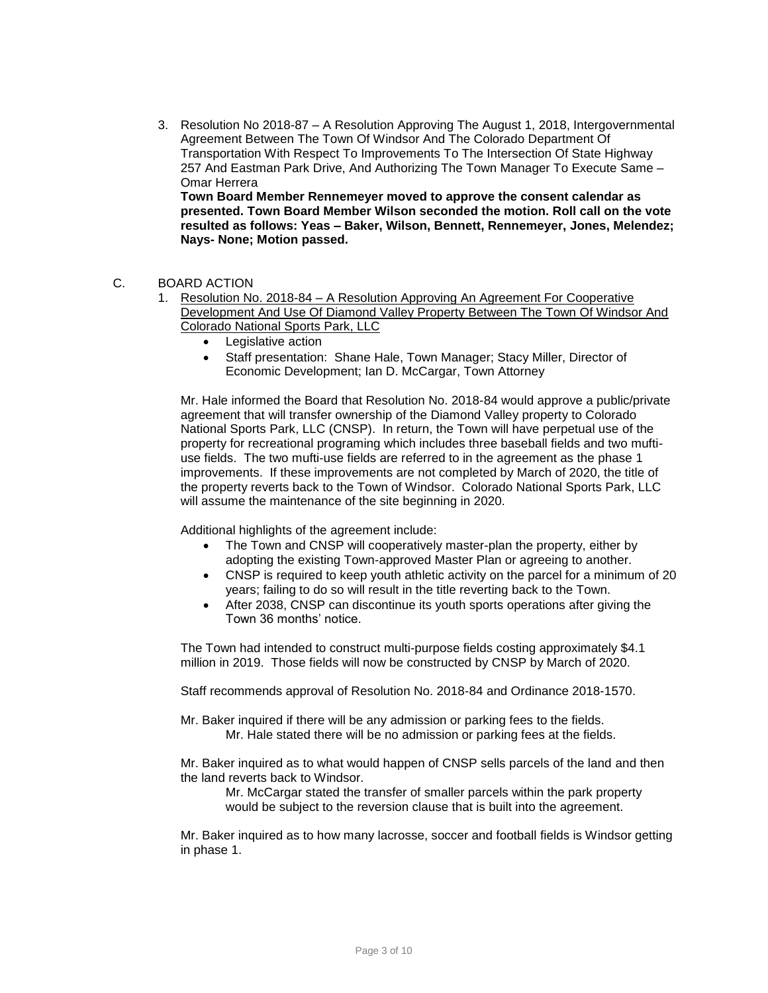3. Resolution No 2018-87 – A Resolution Approving The August 1, 2018, Intergovernmental Agreement Between The Town Of Windsor And The Colorado Department Of Transportation With Respect To Improvements To The Intersection Of State Highway 257 And Eastman Park Drive, And Authorizing The Town Manager To Execute Same – Omar Herrera

**Town Board Member Rennemeyer moved to approve the consent calendar as presented. Town Board Member Wilson seconded the motion. Roll call on the vote resulted as follows: Yeas – Baker, Wilson, Bennett, Rennemeyer, Jones, Melendez; Nays- None; Motion passed.**

### C. BOARD ACTION

- 1. Resolution No. 2018-84 A Resolution Approving An Agreement For Cooperative Development And Use Of Diamond Valley Property Between The Town Of Windsor And Colorado National Sports Park, LLC
	- Legislative action
	- Staff presentation: Shane Hale, Town Manager; Stacy Miller, Director of Economic Development; Ian D. McCargar, Town Attorney

Mr. Hale informed the Board that Resolution No. 2018-84 would approve a public/private agreement that will transfer ownership of the Diamond Valley property to Colorado National Sports Park, LLC (CNSP). In return, the Town will have perpetual use of the property for recreational programing which includes three baseball fields and two muftiuse fields. The two mufti-use fields are referred to in the agreement as the phase 1 improvements. If these improvements are not completed by March of 2020, the title of the property reverts back to the Town of Windsor. Colorado National Sports Park, LLC will assume the maintenance of the site beginning in 2020.

Additional highlights of the agreement include:

- The Town and CNSP will cooperatively master-plan the property, either by adopting the existing Town-approved Master Plan or agreeing to another.
- CNSP is required to keep youth athletic activity on the parcel for a minimum of 20 years; failing to do so will result in the title reverting back to the Town.
- After 2038, CNSP can discontinue its youth sports operations after giving the Town 36 months' notice.

The Town had intended to construct multi-purpose fields costing approximately \$4.1 million in 2019. Those fields will now be constructed by CNSP by March of 2020.

Staff recommends approval of Resolution No. 2018-84 and Ordinance 2018-1570.

Mr. Baker inquired if there will be any admission or parking fees to the fields. Mr. Hale stated there will be no admission or parking fees at the fields.

Mr. Baker inquired as to what would happen of CNSP sells parcels of the land and then the land reverts back to Windsor.

Mr. McCargar stated the transfer of smaller parcels within the park property would be subject to the reversion clause that is built into the agreement.

Mr. Baker inquired as to how many lacrosse, soccer and football fields is Windsor getting in phase 1.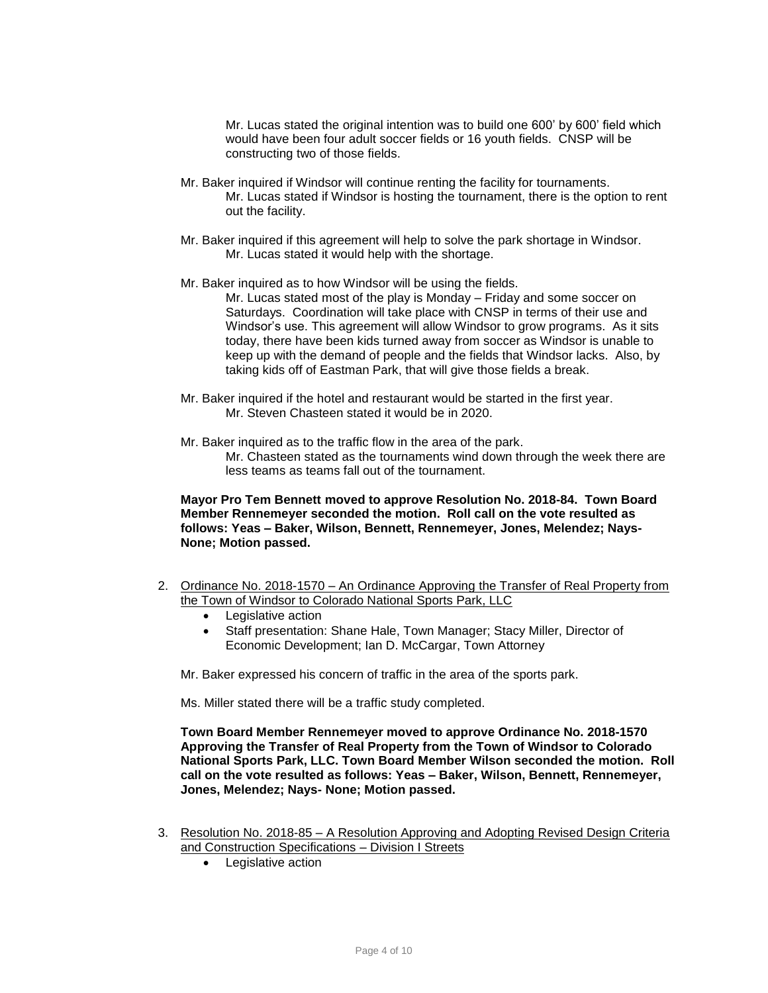Mr. Lucas stated the original intention was to build one 600' by 600' field which would have been four adult soccer fields or 16 youth fields. CNSP will be constructing two of those fields.

- Mr. Baker inquired if Windsor will continue renting the facility for tournaments. Mr. Lucas stated if Windsor is hosting the tournament, there is the option to rent out the facility.
- Mr. Baker inquired if this agreement will help to solve the park shortage in Windsor. Mr. Lucas stated it would help with the shortage.
- Mr. Baker inquired as to how Windsor will be using the fields.

Mr. Lucas stated most of the play is Monday – Friday and some soccer on Saturdays. Coordination will take place with CNSP in terms of their use and Windsor's use. This agreement will allow Windsor to grow programs. As it sits today, there have been kids turned away from soccer as Windsor is unable to keep up with the demand of people and the fields that Windsor lacks. Also, by taking kids off of Eastman Park, that will give those fields a break.

- Mr. Baker inquired if the hotel and restaurant would be started in the first year. Mr. Steven Chasteen stated it would be in 2020.
- Mr. Baker inquired as to the traffic flow in the area of the park. Mr. Chasteen stated as the tournaments wind down through the week there are less teams as teams fall out of the tournament.

**Mayor Pro Tem Bennett moved to approve Resolution No. 2018-84. Town Board Member Rennemeyer seconded the motion. Roll call on the vote resulted as follows: Yeas – Baker, Wilson, Bennett, Rennemeyer, Jones, Melendez; Nays-None; Motion passed.**

- 2. Ordinance No. 2018-1570 An Ordinance Approving the Transfer of Real Property from the Town of Windsor to Colorado National Sports Park, LLC
	- Legislative action
	- Staff presentation: Shane Hale, Town Manager; Stacy Miller, Director of Economic Development; Ian D. McCargar, Town Attorney

Mr. Baker expressed his concern of traffic in the area of the sports park.

Ms. Miller stated there will be a traffic study completed.

**Town Board Member Rennemeyer moved to approve Ordinance No. 2018-1570 Approving the Transfer of Real Property from the Town of Windsor to Colorado National Sports Park, LLC. Town Board Member Wilson seconded the motion. Roll call on the vote resulted as follows: Yeas – Baker, Wilson, Bennett, Rennemeyer, Jones, Melendez; Nays- None; Motion passed.**

- 3. Resolution No. 2018-85 A Resolution Approving and Adopting Revised Design Criteria and Construction Specifications – Division I Streets
	- Legislative action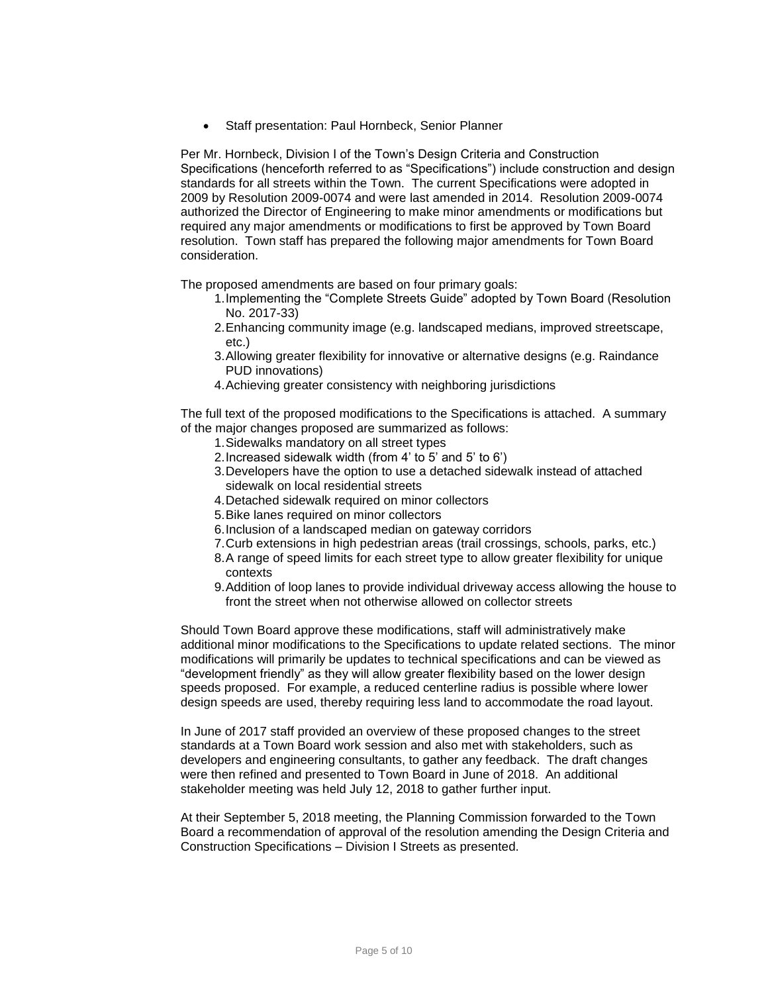Staff presentation: Paul Hornbeck, Senior Planner

Per Mr. Hornbeck, Division I of the Town's Design Criteria and Construction Specifications (henceforth referred to as "Specifications") include construction and design standards for all streets within the Town. The current Specifications were adopted in 2009 by Resolution 2009-0074 and were last amended in 2014. Resolution 2009-0074 authorized the Director of Engineering to make minor amendments or modifications but required any major amendments or modifications to first be approved by Town Board resolution. Town staff has prepared the following major amendments for Town Board consideration.

The proposed amendments are based on four primary goals:

- 1.Implementing the "Complete Streets Guide" adopted by Town Board (Resolution No. 2017-33)
- 2.Enhancing community image (e.g. landscaped medians, improved streetscape, etc.)
- 3.Allowing greater flexibility for innovative or alternative designs (e.g. Raindance PUD innovations)
- 4.Achieving greater consistency with neighboring jurisdictions

The full text of the proposed modifications to the Specifications is attached. A summary of the major changes proposed are summarized as follows:

- 1.Sidewalks mandatory on all street types
- 2.Increased sidewalk width (from 4' to 5' and 5' to 6')
- 3.Developers have the option to use a detached sidewalk instead of attached sidewalk on local residential streets
- 4.Detached sidewalk required on minor collectors
- 5.Bike lanes required on minor collectors
- 6.Inclusion of a landscaped median on gateway corridors
- 7.Curb extensions in high pedestrian areas (trail crossings, schools, parks, etc.)
- 8.A range of speed limits for each street type to allow greater flexibility for unique contexts
- 9.Addition of loop lanes to provide individual driveway access allowing the house to front the street when not otherwise allowed on collector streets

Should Town Board approve these modifications, staff will administratively make additional minor modifications to the Specifications to update related sections. The minor modifications will primarily be updates to technical specifications and can be viewed as "development friendly" as they will allow greater flexibility based on the lower design speeds proposed. For example, a reduced centerline radius is possible where lower design speeds are used, thereby requiring less land to accommodate the road layout.

In June of 2017 staff provided an overview of these proposed changes to the street standards at a Town Board work session and also met with stakeholders, such as developers and engineering consultants, to gather any feedback. The draft changes were then refined and presented to Town Board in June of 2018. An additional stakeholder meeting was held July 12, 2018 to gather further input.

At their September 5, 2018 meeting, the Planning Commission forwarded to the Town Board a recommendation of approval of the resolution amending the Design Criteria and Construction Specifications – Division I Streets as presented.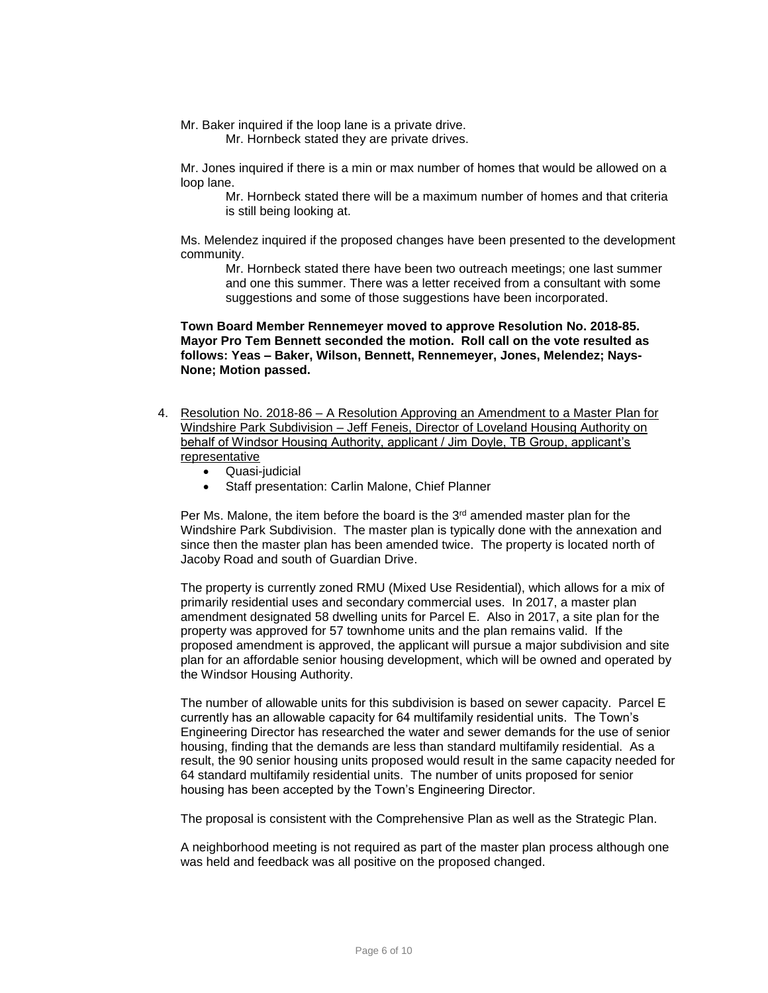Mr. Baker inquired if the loop lane is a private drive.

Mr. Hornbeck stated they are private drives.

Mr. Jones inquired if there is a min or max number of homes that would be allowed on a loop lane.

Mr. Hornbeck stated there will be a maximum number of homes and that criteria is still being looking at.

Ms. Melendez inquired if the proposed changes have been presented to the development community.

Mr. Hornbeck stated there have been two outreach meetings; one last summer and one this summer. There was a letter received from a consultant with some suggestions and some of those suggestions have been incorporated.

**Town Board Member Rennemeyer moved to approve Resolution No. 2018-85. Mayor Pro Tem Bennett seconded the motion. Roll call on the vote resulted as follows: Yeas – Baker, Wilson, Bennett, Rennemeyer, Jones, Melendez; Nays-None; Motion passed.**

- 4. Resolution No. 2018-86 A Resolution Approving an Amendment to a Master Plan for Windshire Park Subdivision – Jeff Feneis, Director of Loveland Housing Authority on behalf of Windsor Housing Authority, applicant / Jim Doyle, TB Group, applicant's representative
	- Quasi-judicial
	- Staff presentation: Carlin Malone, Chief Planner

Per Ms. Malone, the item before the board is the  $3<sup>rd</sup>$  amended master plan for the Windshire Park Subdivision. The master plan is typically done with the annexation and since then the master plan has been amended twice. The property is located north of Jacoby Road and south of Guardian Drive.

The property is currently zoned RMU (Mixed Use Residential), which allows for a mix of primarily residential uses and secondary commercial uses. In 2017, a master plan amendment designated 58 dwelling units for Parcel E. Also in 2017, a site plan for the property was approved for 57 townhome units and the plan remains valid. If the proposed amendment is approved, the applicant will pursue a major subdivision and site plan for an affordable senior housing development, which will be owned and operated by the Windsor Housing Authority.

The number of allowable units for this subdivision is based on sewer capacity. Parcel E currently has an allowable capacity for 64 multifamily residential units. The Town's Engineering Director has researched the water and sewer demands for the use of senior housing, finding that the demands are less than standard multifamily residential. As a result, the 90 senior housing units proposed would result in the same capacity needed for 64 standard multifamily residential units. The number of units proposed for senior housing has been accepted by the Town's Engineering Director.

The proposal is consistent with the Comprehensive Plan as well as the Strategic Plan.

A neighborhood meeting is not required as part of the master plan process although one was held and feedback was all positive on the proposed changed.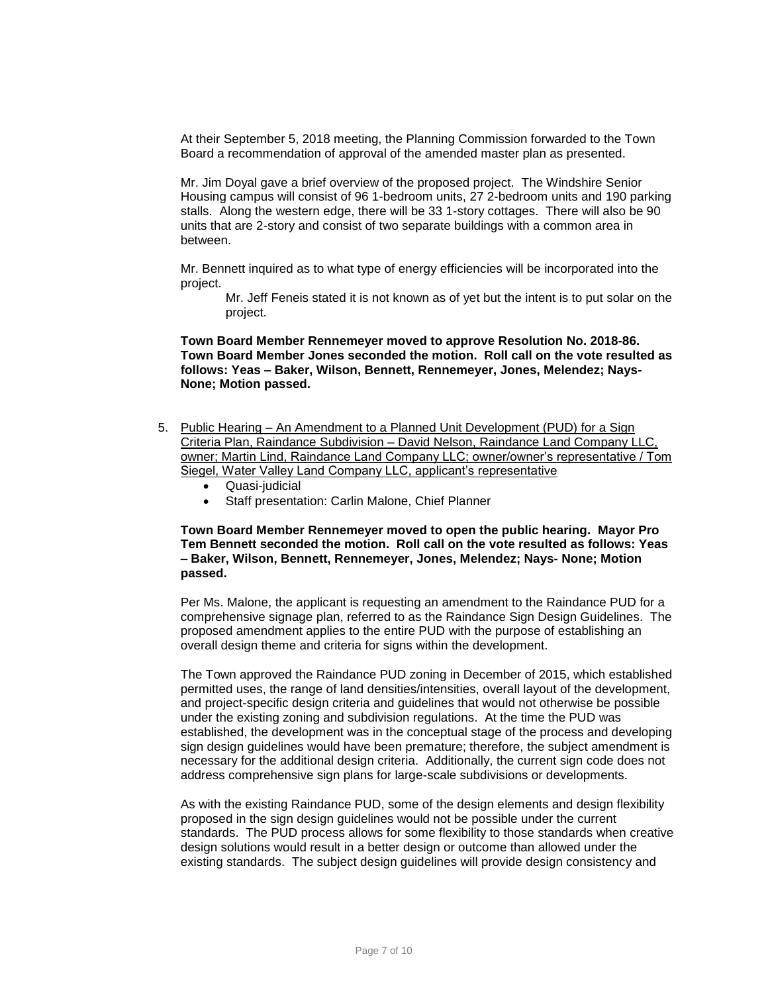At their September 5, 2018 meeting, the Planning Commission forwarded to the Town Board a recommendation of approval of the amended master plan as presented.

Mr. Jim Doyal gave a brief overview of the proposed project. The Windshire Senior Housing campus will consist of 96 1-bedroom units, 27 2-bedroom units and 190 parking stalls. Along the western edge, there will be 33 1-story cottages. There will also be 90 units that are 2-story and consist of two separate buildings with a common area in between.

Mr. Bennett inquired as to what type of energy efficiencies will be incorporated into the project.

Mr. Jeff Feneis stated it is not known as of yet but the intent is to put solar on the project.

#### **Town Board Member Rennemeyer moved to approve Resolution No. 2018-86. Town Board Member Jones seconded the motion. Roll call on the vote resulted as follows: Yeas – Baker, Wilson, Bennett, Rennemeyer, Jones, Melendez; Nays-None; Motion passed.**

- 5. Public Hearing An Amendment to a Planned Unit Development (PUD) for a Sign Criteria Plan, Raindance Subdivision – David Nelson, Raindance Land Company LLC, owner; Martin Lind, Raindance Land Company LLC; owner/owner's representative / Tom Siegel, Water Valley Land Company LLC, applicant's representative
	- Quasi-judicial
	- Staff presentation: Carlin Malone, Chief Planner

**Town Board Member Rennemeyer moved to open the public hearing. Mayor Pro Tem Bennett seconded the motion. Roll call on the vote resulted as follows: Yeas – Baker, Wilson, Bennett, Rennemeyer, Jones, Melendez; Nays- None; Motion passed.**

Per Ms. Malone, the applicant is requesting an amendment to the Raindance PUD for a comprehensive signage plan, referred to as the Raindance Sign Design Guidelines. The proposed amendment applies to the entire PUD with the purpose of establishing an overall design theme and criteria for signs within the development.

The Town approved the Raindance PUD zoning in December of 2015, which established permitted uses, the range of land densities/intensities, overall layout of the development, and project-specific design criteria and guidelines that would not otherwise be possible under the existing zoning and subdivision regulations. At the time the PUD was established, the development was in the conceptual stage of the process and developing sign design guidelines would have been premature; therefore, the subject amendment is necessary for the additional design criteria. Additionally, the current sign code does not address comprehensive sign plans for large-scale subdivisions or developments.

As with the existing Raindance PUD, some of the design elements and design flexibility proposed in the sign design guidelines would not be possible under the current standards. The PUD process allows for some flexibility to those standards when creative design solutions would result in a better design or outcome than allowed under the existing standards. The subject design guidelines will provide design consistency and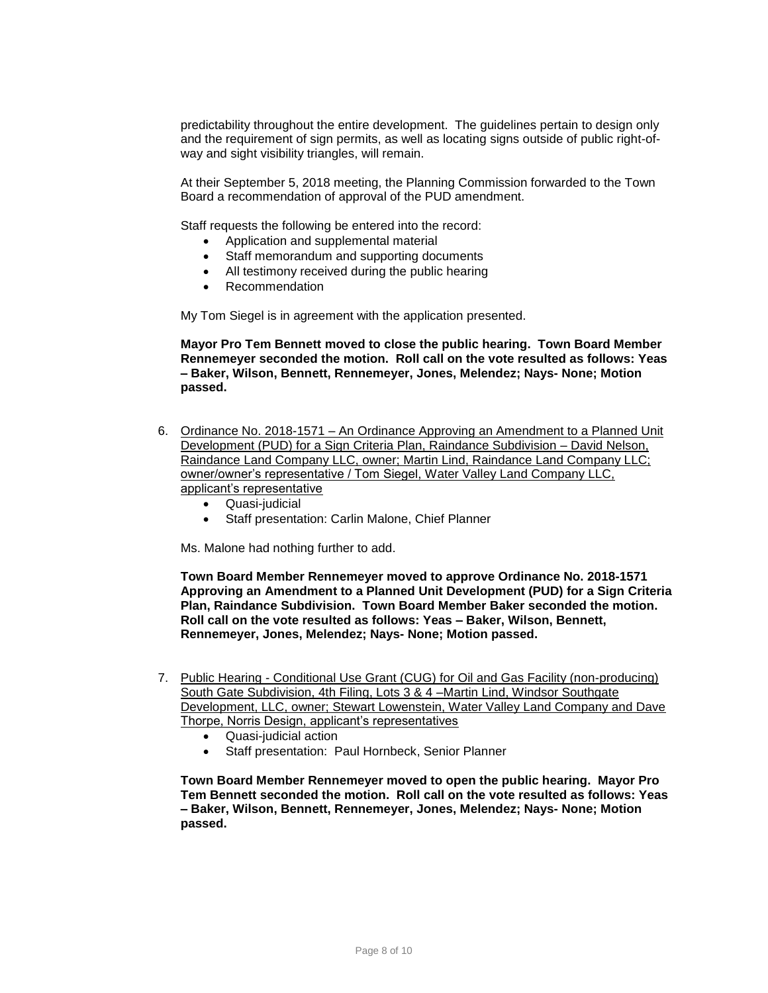predictability throughout the entire development. The guidelines pertain to design only and the requirement of sign permits, as well as locating signs outside of public right-ofway and sight visibility triangles, will remain.

At their September 5, 2018 meeting, the Planning Commission forwarded to the Town Board a recommendation of approval of the PUD amendment.

Staff requests the following be entered into the record:

- Application and supplemental material
- Staff memorandum and supporting documents
- All testimony received during the public hearing
- Recommendation

My Tom Siegel is in agreement with the application presented.

**Mayor Pro Tem Bennett moved to close the public hearing. Town Board Member Rennemeyer seconded the motion. Roll call on the vote resulted as follows: Yeas – Baker, Wilson, Bennett, Rennemeyer, Jones, Melendez; Nays- None; Motion passed.**

- 6. Ordinance No. 2018-1571 An Ordinance Approving an Amendment to a Planned Unit Development (PUD) for a Sign Criteria Plan, Raindance Subdivision – David Nelson, Raindance Land Company LLC, owner; Martin Lind, Raindance Land Company LLC; owner/owner's representative / Tom Siegel, Water Valley Land Company LLC, applicant's representative
	- Quasi-judicial
	- Staff presentation: Carlin Malone, Chief Planner

Ms. Malone had nothing further to add.

**Town Board Member Rennemeyer moved to approve Ordinance No. 2018-1571 Approving an Amendment to a Planned Unit Development (PUD) for a Sign Criteria Plan, Raindance Subdivision. Town Board Member Baker seconded the motion. Roll call on the vote resulted as follows: Yeas – Baker, Wilson, Bennett, Rennemeyer, Jones, Melendez; Nays- None; Motion passed.**

- 7. Public Hearing Conditional Use Grant (CUG) for Oil and Gas Facility (non-producing) South Gate Subdivision, 4th Filing, Lots 3 & 4 –Martin Lind, Windsor Southgate Development, LLC, owner; Stewart Lowenstein, Water Valley Land Company and Dave Thorpe, Norris Design, applicant's representatives
	- Quasi-judicial action
	- Staff presentation: Paul Hornbeck, Senior Planner

**Town Board Member Rennemeyer moved to open the public hearing. Mayor Pro Tem Bennett seconded the motion. Roll call on the vote resulted as follows: Yeas – Baker, Wilson, Bennett, Rennemeyer, Jones, Melendez; Nays- None; Motion passed.**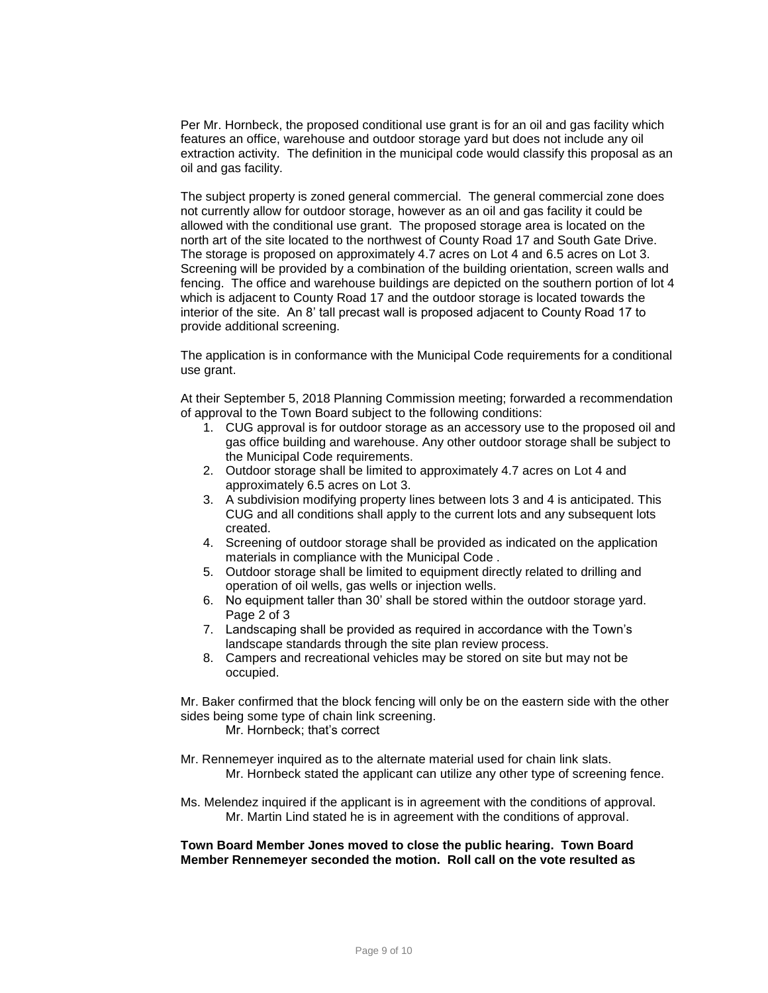Per Mr. Hornbeck, the proposed conditional use grant is for an oil and gas facility which features an office, warehouse and outdoor storage yard but does not include any oil extraction activity. The definition in the municipal code would classify this proposal as an oil and gas facility.

The subject property is zoned general commercial. The general commercial zone does not currently allow for outdoor storage, however as an oil and gas facility it could be allowed with the conditional use grant. The proposed storage area is located on the north art of the site located to the northwest of County Road 17 and South Gate Drive. The storage is proposed on approximately 4.7 acres on Lot 4 and 6.5 acres on Lot 3. Screening will be provided by a combination of the building orientation, screen walls and fencing. The office and warehouse buildings are depicted on the southern portion of lot 4 which is adjacent to County Road 17 and the outdoor storage is located towards the interior of the site. An 8' tall precast wall is proposed adjacent to County Road 17 to provide additional screening.

The application is in conformance with the Municipal Code requirements for a conditional use grant.

At their September 5, 2018 Planning Commission meeting; forwarded a recommendation of approval to the Town Board subject to the following conditions:

- 1. CUG approval is for outdoor storage as an accessory use to the proposed oil and gas office building and warehouse. Any other outdoor storage shall be subject to the Municipal Code requirements.
- 2. Outdoor storage shall be limited to approximately 4.7 acres on Lot 4 and approximately 6.5 acres on Lot 3.
- 3. A subdivision modifying property lines between lots 3 and 4 is anticipated. This CUG and all conditions shall apply to the current lots and any subsequent lots created.
- 4. Screening of outdoor storage shall be provided as indicated on the application materials in compliance with the Municipal Code .
- 5. Outdoor storage shall be limited to equipment directly related to drilling and operation of oil wells, gas wells or injection wells.
- 6. No equipment taller than 30' shall be stored within the outdoor storage yard. Page 2 of 3
- 7. Landscaping shall be provided as required in accordance with the Town's landscape standards through the site plan review process.
- 8. Campers and recreational vehicles may be stored on site but may not be occupied.

Mr. Baker confirmed that the block fencing will only be on the eastern side with the other sides being some type of chain link screening.

Mr. Hornbeck; that's correct

- Mr. Rennemeyer inquired as to the alternate material used for chain link slats. Mr. Hornbeck stated the applicant can utilize any other type of screening fence.
- Ms. Melendez inquired if the applicant is in agreement with the conditions of approval. Mr. Martin Lind stated he is in agreement with the conditions of approval.

**Town Board Member Jones moved to close the public hearing. Town Board Member Rennemeyer seconded the motion. Roll call on the vote resulted as**